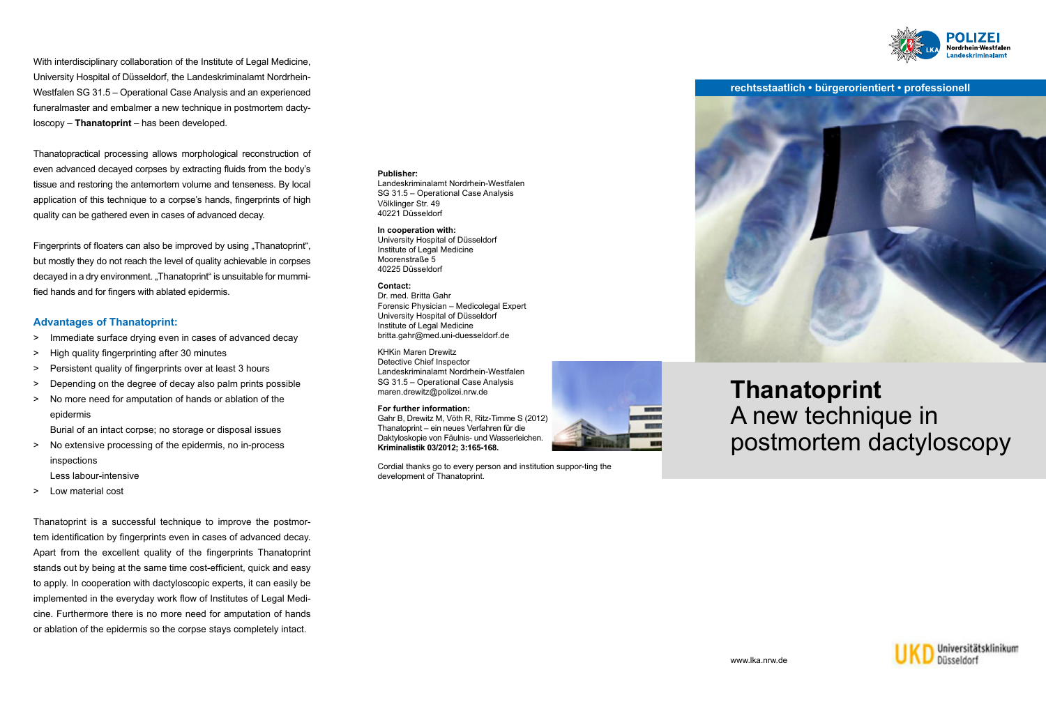With interdisciplinary collaboration of the Institute of Legal Medicine, University Hospital of Düsseldorf, the Landeskriminalamt Nordrhein-Westfalen SG 31.5 – Operational Case Analysis and an experienced funeralmaster and embalmer a new technique in postmortem dactyloscopy – **Thanatoprint** – has been developed.

Thanatopractical processing allows morphological reconstruction of even advanced decayed corpses by extracting fluids from the body's tissue and restoring the antemortem volume and tenseness. By local application of this technique to a corpse's hands, fingerprints of high quality can be gathered even in cases of advanced decay.

Fingerprints of floaters can also be improved by using "Thanatoprint", but mostly they do not reach the level of quality achievable in corpses decayed in a dry environment. "Thanatoprint" is unsuitable for mummified hands and for fingers with ablated epidermis.

### **Advantages of Thanatoprint:**

- > Immediate surface drying even in cases of advanced decay
- > High quality fingerprinting after 30 minutes
- > Persistent quality of fingerprints over at least 3 hours
- > Depending on the degree of decay also palm prints possible
- > No more need for amputation of hands or ablation of the epidermis Burial of an intact corpse; no storage or disposal issues
- > No extensive processing of the epidermis, no in-process inspections

Less labour-intensive

> Low material cost

Thanatoprint is a successful technique to improve the postmortem identification by fingerprints even in cases of advanced decay. Apart from the excellent quality of the fingerprints Thanatoprint stands out by being at the same time cost-efficient, quick and easy to apply. In cooperation with dactyloscopic experts, it can easily be implemented in the everyday work flow of Institutes of Legal Medicine. Furthermore there is no more need for amputation of hands or ablation of the epidermis so the corpse stays completely intact.

### **Publisher:**

Landeskriminalamt Nordrhein-Westfalen SG 31.5 – Operational Case Analysis Völklinger Str. 49 40221 Düsseldorf

#### **In cooperation with:** University Hospital of Düsseldorf

Institute of Legal Medicine Moorenstraße 5 40225 Düsseldorf

**Contact:** Dr. med. Britta Gahr Forensic Physician – Medicolegal Expert University Hospital of Düsseldorf Institute of Legal Medicine britta.gahr@med.uni-duesseldorf.de

KHKin Maren Drewitz Detective Chief Inspector Landeskriminalamt Nordrhein-Westfalen SG 31.5 – Operational Case Analysis maren.drewitz@polizei.nrw.de

**For further information:** Gahr B, Drewitz M, Vöth R, Ritz-Timme S (2012) Thanatoprint – ein neues Verfahren für die Daktyloskopie von Fäulnis- und Wasserleichen. **Kriminalistik 03/2012; 3:165-168.**

Cordial thanks go to every person and institution suppor-ting the development of Thanatoprint.



## **rechtsstaatlich • bürgerorientiert • professionell**



# **Thanatoprint** A new technique in postmortem dactyloscopy